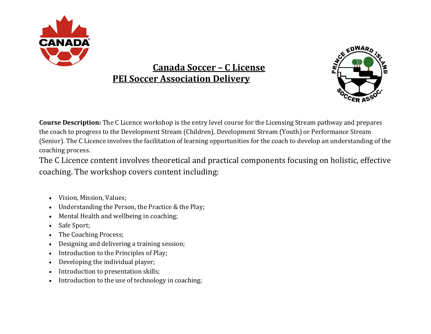

## **Canada Soccer – C License PEI Soccer Association Delivery**



**Course Description:** The C Licence workshop is the entry level course for the Licensing Stream pathway and prepares the coach to progress to the Development Stream (Children), Development Stream (Youth) or Performance Stream (Senior). The C Licence involves the facilitation of learning opportunities for the coach to develop an understanding of the coaching process.

The C Licence content involves theoretical and practical components focusing on holistic, effective coaching. The workshop covers content including:

- Vision, Mission, Values;
- Understanding the Person, the Practice & the Play;
- Mental Health and wellbeing in coaching;
- Safe Sport;
- The Coaching Process;
- Designing and delivering a training session;
- Introduction to the Principles of Play;
- Developing the individual player;
- Introduction to presentation skills;
- Introduction to the use of technology in coaching;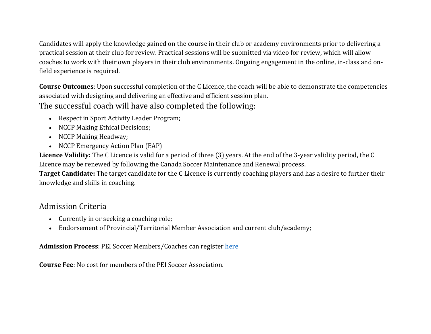Candidates will apply the knowledge gained on the course in their club or academy environments prior to delivering a practical session at their club for review. Practical sessions will be submitted via video for review, which will allow coaches to work with their own players in their club environments. Ongoing engagement in the online, in-class and onfield experience is required.

**Course Outcomes**: Upon successful completion of the C Licence, the coach will be able to demonstrate the competencies associated with designing and delivering an effective and efficient session plan.

The successful coach will have also completed the following:

- Respect in Sport Activity Leader Program;
- NCCP Making Ethical Decisions;
- NCCP Making Headway;
- NCCP Emergency Action Plan (EAP)

**Licence Validity:** The C Licence is valid for a period of three (3) years. At the end of the 3-year validity period, the C Licence may be renewed by following the Canada Soccer Maintenance and Renewal process.

**Target Candidate:** The target candidate for the C Licence is currently coaching players and has a desire to further their knowledge and skills in coaching.

## Admission Criteria

- Currently in or seeking a coaching role;
- Endorsement of Provincial/Territorial Member Association and current club/academy;

## **Admission Process**: PEI Soccer Members/Coaches can register [here](https://forms.gle/vdKB1ufzixgvjCDDA)

**Course Fee**: No cost for members of the PEI Soccer Association.